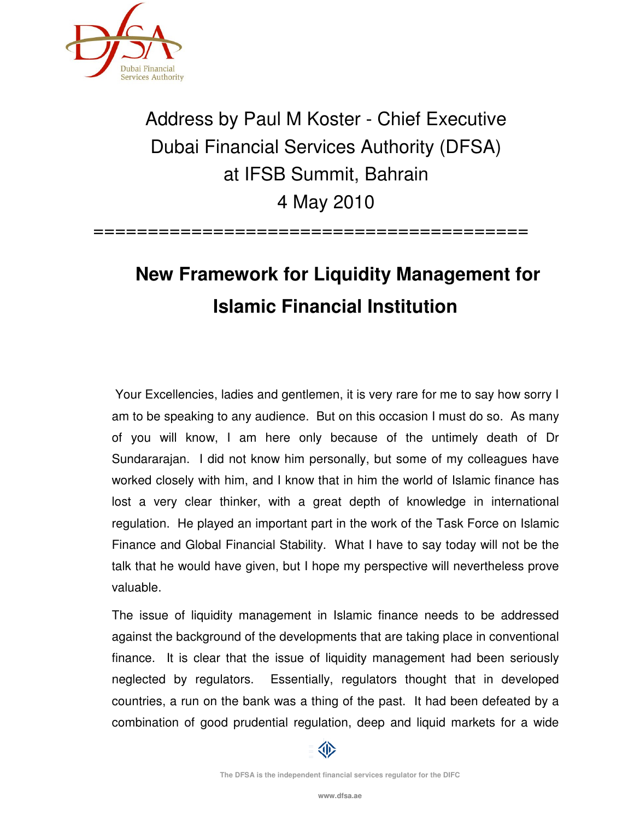

## Address by Paul M Koster - Chief Executive Dubai Financial Services Authority (DFSA) at IFSB Summit, Bahrain 4 May 2010

 **New Framework for Liquidity Management for Islamic Financial Institution** 

========================================

 Your Excellencies, ladies and gentlemen, it is very rare for me to say how sorry I am to be speaking to any audience. But on this occasion I must do so. As many of you will know, I am here only because of the untimely death of Dr Sundararajan. I did not know him personally, but some of my colleagues have worked closely with him, and I know that in him the world of Islamic finance has lost a very clear thinker, with a great depth of knowledge in international regulation. He played an important part in the work of the Task Force on Islamic Finance and Global Financial Stability. What I have to say today will not be the talk that he would have given, but I hope my perspective will nevertheless prove valuable.

The issue of liquidity management in Islamic finance needs to be addressed against the background of the developments that are taking place in conventional finance. It is clear that the issue of liquidity management had been seriously neglected by regulators. Essentially, regulators thought that in developed countries, a run on the bank was a thing of the past. It had been defeated by a combination of good prudential regulation, deep and liquid markets for a wide



**The DFSA is the independent financial services regulator for the DIFC**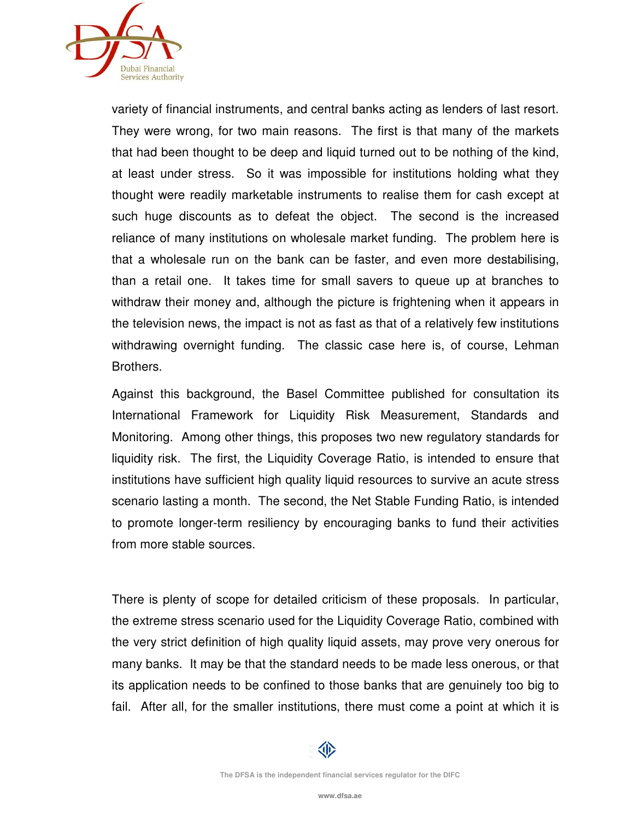

variety of financial instruments, and central banks acting as lenders of last resort. They were wrong, for two main reasons. The first is that many of the markets that had been thought to be deep and liquid turned out to be nothing of the kind, at least under stress. So it was impossible for institutions holding what they thought were readily marketable instruments to realise them for cash except at such huge discounts as to defeat the object. The second is the increased reliance of many institutions on wholesale market funding. The problem here is that a wholesale run on the bank can be faster, and even more destabilising, than a retail one. It takes time for small savers to queue up at branches to withdraw their money and, although the picture is frightening when it appears in the television news, the impact is not as fast as that of a relatively few institutions withdrawing overnight funding. The classic case here is, of course, Lehman Brothers.

Against this background, the Basel Committee published for consultation its International Framework for Liquidity Risk Measurement, Standards and Monitoring. Among other things, this proposes two new regulatory standards for liquidity risk. The first, the Liquidity Coverage Ratio, is intended to ensure that institutions have sufficient high quality liquid resources to survive an acute stress scenario lasting a month. The second, the Net Stable Funding Ratio, is intended to promote longer-term resiliency by encouraging banks to fund their activities from more stable sources.

There is plenty of scope for detailed criticism of these proposals. In particular, the extreme stress scenario used for the Liquidity Coverage Ratio, combined with the very strict definition of high quality liquid assets, may prove very onerous for many banks. It may be that the standard needs to be made less onerous, or that its application needs to be confined to those banks that are genuinely too big to fail. After all, for the smaller institutions, there must come a point at which it is

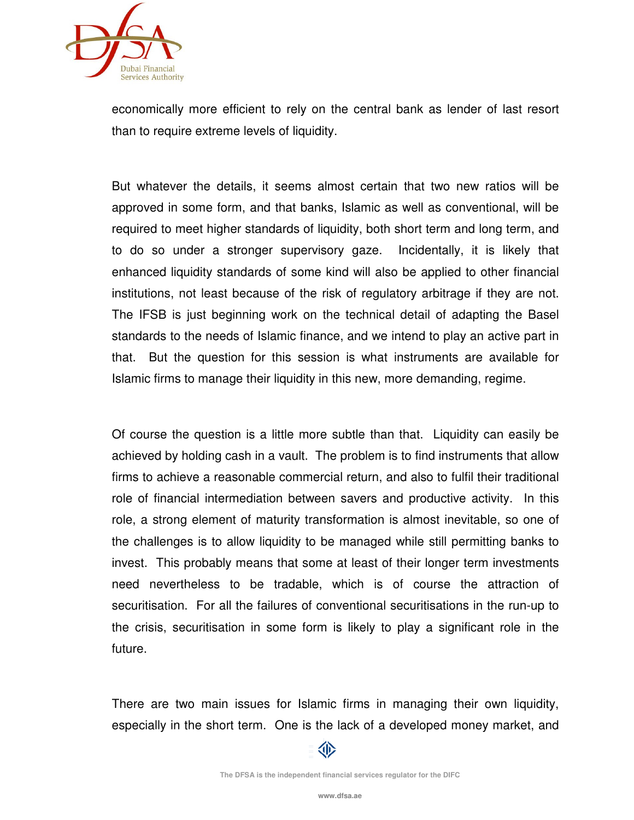

economically more efficient to rely on the central bank as lender of last resort than to require extreme levels of liquidity.

But whatever the details, it seems almost certain that two new ratios will be approved in some form, and that banks, Islamic as well as conventional, will be required to meet higher standards of liquidity, both short term and long term, and to do so under a stronger supervisory gaze. Incidentally, it is likely that enhanced liquidity standards of some kind will also be applied to other financial institutions, not least because of the risk of regulatory arbitrage if they are not. The IFSB is just beginning work on the technical detail of adapting the Basel standards to the needs of Islamic finance, and we intend to play an active part in that. But the question for this session is what instruments are available for Islamic firms to manage their liquidity in this new, more demanding, regime.

Of course the question is a little more subtle than that. Liquidity can easily be achieved by holding cash in a vault. The problem is to find instruments that allow firms to achieve a reasonable commercial return, and also to fulfil their traditional role of financial intermediation between savers and productive activity. In this role, a strong element of maturity transformation is almost inevitable, so one of the challenges is to allow liquidity to be managed while still permitting banks to invest. This probably means that some at least of their longer term investments need nevertheless to be tradable, which is of course the attraction of securitisation. For all the failures of conventional securitisations in the run-up to the crisis, securitisation in some form is likely to play a significant role in the future.

There are two main issues for Islamic firms in managing their own liquidity, especially in the short term. One is the lack of a developed money market, and



**The DFSA is the independent financial services regulator for the DIFC**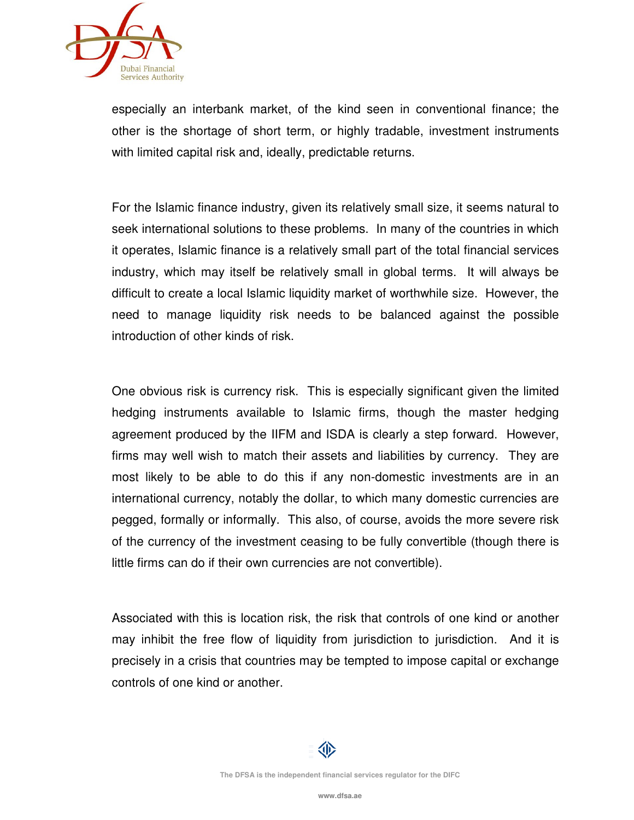

especially an interbank market, of the kind seen in conventional finance; the other is the shortage of short term, or highly tradable, investment instruments with limited capital risk and, ideally, predictable returns.

For the Islamic finance industry, given its relatively small size, it seems natural to seek international solutions to these problems. In many of the countries in which it operates, Islamic finance is a relatively small part of the total financial services industry, which may itself be relatively small in global terms. It will always be difficult to create a local Islamic liquidity market of worthwhile size. However, the need to manage liquidity risk needs to be balanced against the possible introduction of other kinds of risk.

One obvious risk is currency risk. This is especially significant given the limited hedging instruments available to Islamic firms, though the master hedging agreement produced by the IIFM and ISDA is clearly a step forward. However, firms may well wish to match their assets and liabilities by currency. They are most likely to be able to do this if any non-domestic investments are in an international currency, notably the dollar, to which many domestic currencies are pegged, formally or informally. This also, of course, avoids the more severe risk of the currency of the investment ceasing to be fully convertible (though there is little firms can do if their own currencies are not convertible).

Associated with this is location risk, the risk that controls of one kind or another may inhibit the free flow of liquidity from jurisdiction to jurisdiction. And it is precisely in a crisis that countries may be tempted to impose capital or exchange controls of one kind or another.

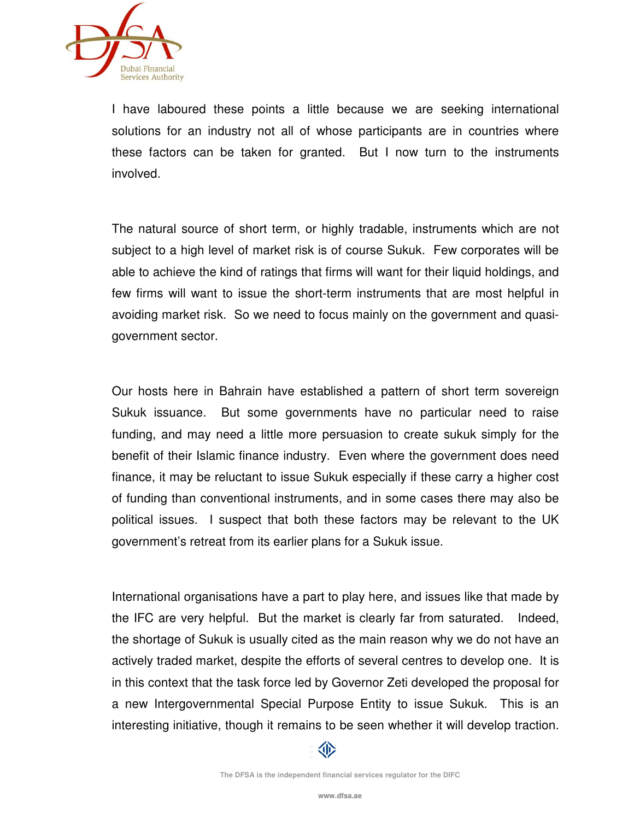

I have laboured these points a little because we are seeking international solutions for an industry not all of whose participants are in countries where these factors can be taken for granted. But I now turn to the instruments involved.

The natural source of short term, or highly tradable, instruments which are not subject to a high level of market risk is of course Sukuk. Few corporates will be able to achieve the kind of ratings that firms will want for their liquid holdings, and few firms will want to issue the short-term instruments that are most helpful in avoiding market risk. So we need to focus mainly on the government and quasigovernment sector.

Our hosts here in Bahrain have established a pattern of short term sovereign Sukuk issuance. But some governments have no particular need to raise funding, and may need a little more persuasion to create sukuk simply for the benefit of their Islamic finance industry. Even where the government does need finance, it may be reluctant to issue Sukuk especially if these carry a higher cost of funding than conventional instruments, and in some cases there may also be political issues. I suspect that both these factors may be relevant to the UK government's retreat from its earlier plans for a Sukuk issue.

International organisations have a part to play here, and issues like that made by the IFC are very helpful. But the market is clearly far from saturated. Indeed, the shortage of Sukuk is usually cited as the main reason why we do not have an actively traded market, despite the efforts of several centres to develop one. It is in this context that the task force led by Governor Zeti developed the proposal for a new Intergovernmental Special Purpose Entity to issue Sukuk. This is an interesting initiative, though it remains to be seen whether it will develop traction.

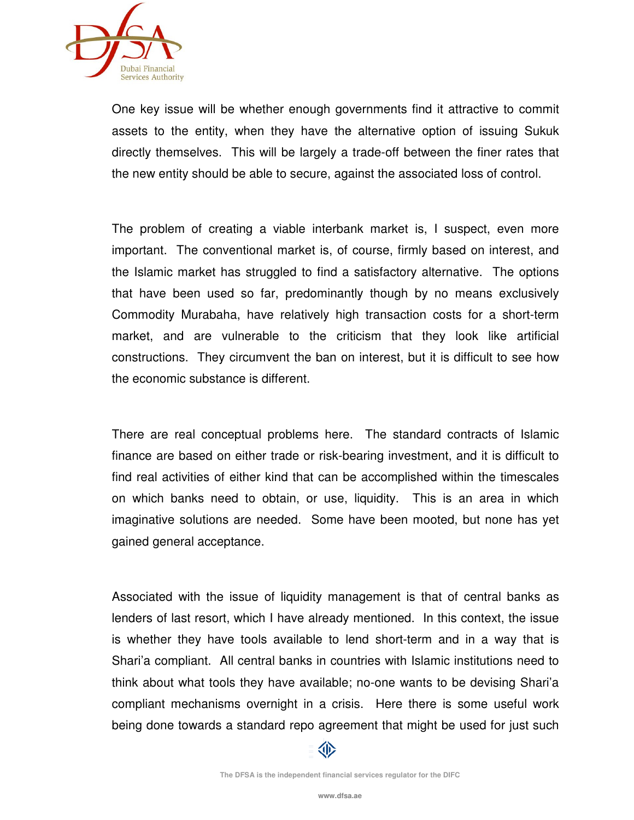

One key issue will be whether enough governments find it attractive to commit assets to the entity, when they have the alternative option of issuing Sukuk directly themselves. This will be largely a trade-off between the finer rates that the new entity should be able to secure, against the associated loss of control.

The problem of creating a viable interbank market is, I suspect, even more important. The conventional market is, of course, firmly based on interest, and the Islamic market has struggled to find a satisfactory alternative. The options that have been used so far, predominantly though by no means exclusively Commodity Murabaha, have relatively high transaction costs for a short-term market, and are vulnerable to the criticism that they look like artificial constructions. They circumvent the ban on interest, but it is difficult to see how the economic substance is different.

There are real conceptual problems here. The standard contracts of Islamic finance are based on either trade or risk-bearing investment, and it is difficult to find real activities of either kind that can be accomplished within the timescales on which banks need to obtain, or use, liquidity. This is an area in which imaginative solutions are needed. Some have been mooted, but none has yet gained general acceptance.

Associated with the issue of liquidity management is that of central banks as lenders of last resort, which I have already mentioned. In this context, the issue is whether they have tools available to lend short-term and in a way that is Shari'a compliant. All central banks in countries with Islamic institutions need to think about what tools they have available; no-one wants to be devising Shari'a compliant mechanisms overnight in a crisis. Here there is some useful work being done towards a standard repo agreement that might be used for just such